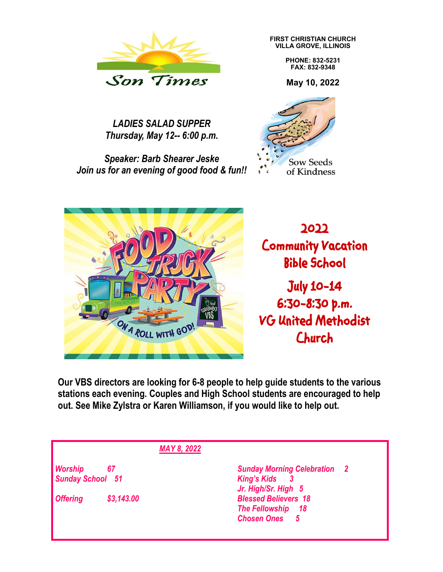

*LADIES SALAD SUPPER Thursday, May 12-- 6:00 p.m.*

*Speaker: Barb Shearer Jeske Join us for an evening of good food & fun!!* **FIRST CHRISTIAN CHURCH VILLA GROVE, ILLINOIS**

> **PHONE: 832-5231 FAX: 832-9348**

**May 10, 2022**





**Our VBS directors are looking for 6-8 people to help guide students to the various stations each evening. Couples and High School students are encouraged to help out. See Mike Zylstra or Karen Williamson, if you would like to help out.**

*MAY 8, 2022*

*Sunday School 51 King's Kids 3*

*Offering \$3,143.00 Blessed Believers 18*

*Worship 67 Sunday Morning Celebration 2 Jr. High/Sr. High 5 The Fellowship 18 Chosen Ones 5*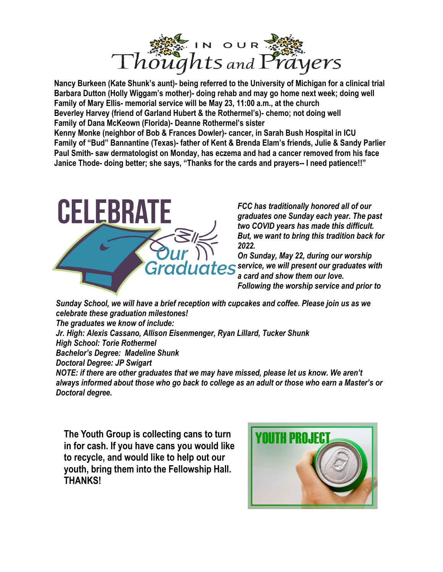

**Nancy Burkeen (Kate Shunk's aunt)- being referred to the University of Michigan for a clinical trial Barbara Dutton (Holly Wiggam's mother)- doing rehab and may go home next week; doing well Family of Mary Ellis- memorial service will be May 23, 11:00 a.m., at the church Beverley Harvey (friend of Garland Hubert & the Rothermel's)- chemo; not doing well Family of Dana McKeown (Florida)- Deanne Rothermel's sister**

**Kenny Monke (neighbor of Bob & Frances Dowler)- cancer, in Sarah Bush Hospital in ICU Family of "Bud" Bannantine (Texas)- father of Kent & Brenda Elam's friends, Julie & Sandy Parlier Paul Smith- saw dermatologist on Monday, has eczema and had a cancer removed from his face Janice Thode- doing better; she says, "Thanks for the cards and prayers-- I need patience!!"**



*FCC has traditionally honored all of our graduates one Sunday each year. The past two COVID years has made this difficult. But, we want to bring this tradition back for 2022.* 

*On Sunday, May 22, during our worship <u>araduates</u> service, we will present our graduates with a card and show them our love. Following the worship service and prior to* 

*Sunday School, we will have a brief reception with cupcakes and coffee. Please join us as we celebrate these graduation milestones! The graduates we know of include: Jr. High: Alexis Cassano, Allison Eisenmenger, Ryan Lillard, Tucker Shunk High School: Torie Rothermel Bachelor's Degree: Madeline Shunk Doctoral Degree: JP Swigart NOTE: if there are other graduates that we may have missed, please let us know. We aren't* 

*always informed about those who go back to college as an adult or those who earn a Master's or Doctoral degree.*

**The Youth Group is collecting cans to turn in for cash. If you have cans you would like to recycle, and would like to help out our youth, bring them into the Fellowship Hall. THANKS!**